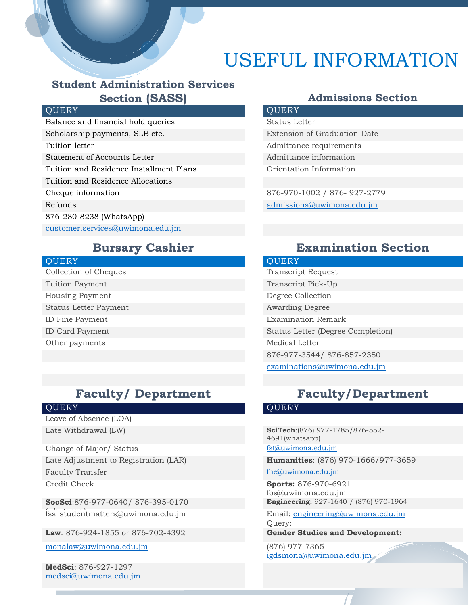# USEFUL INFORMATION

# **Student Administration Services Section (SASS)**

**(SASS)**

### **OUERY**

Balance and financial hold queries **Status Letter** Status Letter Scholarship payments, SLB etc. Tuition letter Statement of Accounts Letter Tuition and Residence Installment Plans Tuition and Residence Allocations Cheque information 876-970-1002 / 876-927-2779 Refunds [admissions@uwimona.edu.jm](mailto:admissions@uwimona.edu.jm) 876-280-8238 (WhatsApp) [customer.services@uwimona.edu.jm](mailto:customer.services@uwimona.edu.jm)

### **QUERY COUNTY COUNTY OF A COUNTY OF A COUNTY OF A COUNTY OF A COUNTY OF A COUNTY OF A COUNTY OF A COUNTY OF A COUNTY**

Collection of Cheques Transcript Request Tuition Payment **Transcript Pick-Up** Housing Payment **Degree** Collection Status Letter Payment Awarding Degree ID Fine Payment **Examination Remark** Other payments Medical Letter

# **Faculty/ Department Faculty/Department**

### QUERY QUERY QUERY

Leave of Absence (LOA)

Change of Major/ Status for the status for the fact of Major for the status for the fact of the fact of the fact of the fact of the fact of the fact of the fact of the fact of the fact of the fact of the fact of the fact o Late Adjustment to Registration (LAR) **Humanities**: (876) 970-1666/977-3659 Faculty Transfer [fhe@uwimona.edu.jm](mailto:fhe@uwimona.edu.jm) Credit Check **Sports:** 876-970-6921

**SocSci**:876-977-0640/ 876-395-0170 fss\_studentmatters@uwimona.edu.jm Email: [engineering@uwimona.edu.jm](mailto:engineering@uwimona.edu.jm)

Law: 876-924-1855 or 876-702-4392 **Gender Studies and Development:** [monalaw@uwimona.edu.jm](mailto:monalaw@uwimona.edu.jm) (876) 977-7365

**MedSci**: 876-927-1297 [medsci@uwimona.edu.jm](mailto:medsci@uwimona.edu.jm)

### **Admissions Section**

| QUERY                        |
|------------------------------|
| Status Letter                |
| Extension of Graduation Date |
| Admittance requirements      |
| Admittance information       |
| Orientation Information      |
|                              |
| 876 070 1000 / 876 007 0770  |

# **Bursary Cashier Examination Section**

ID Card Payment Status Letter (Degree Completion) 876-977-3544/ 876-857-2350 [examinations@uwimona.edu.jm](mailto:examinations@uwimona.edu.jm)

Late Withdrawal (LW) **SciTech**:(876) 977-1785/876-552- 4691(whatsapp)

fos@uwimona.edu.jm **Engineering:** 927-1640 / (876) 970-1964

Ouery:

[igdsmona@uwimona.edu.jm](mailto:igdsmona@uwimona.edu.jm)